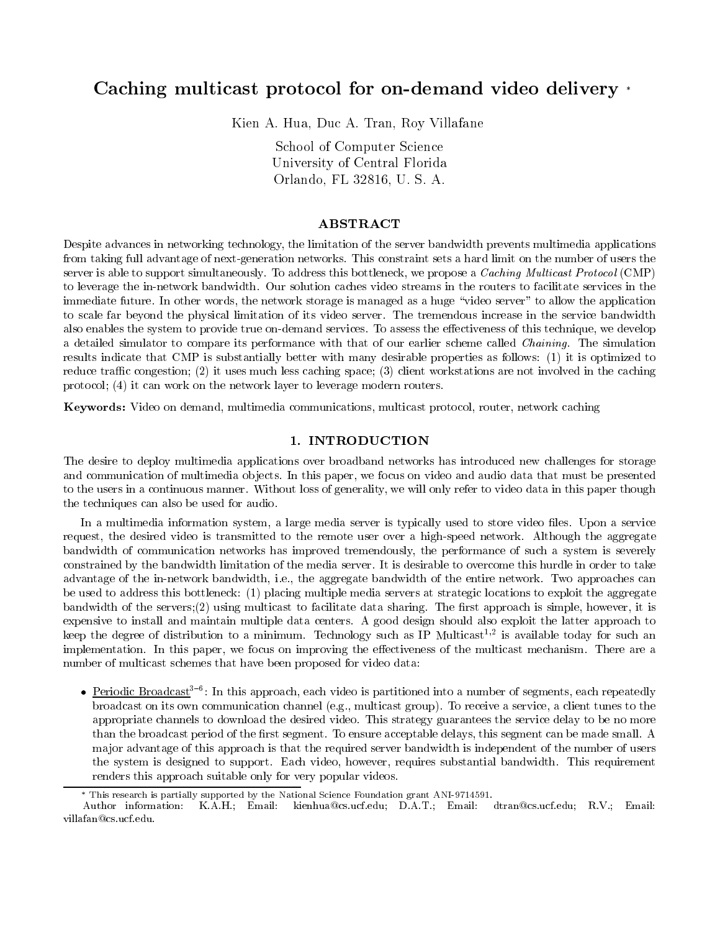# Caching multicast protocol for on-demand video delivery

Kien A. Hua, Duc A. Tran, Roy Villafane

School of Computer Science University of Central Florida Orlando, FL 32816, U. S. A.

#### ${\bf ABSTRACT}$

Despite advances in networking technology, the limitation of the server bandwidth prevents multimedia applications from taking full advantage of next-generation networks. This constraint sets a hard limit on the number of users the server is able to support simultaneously. To address this bottleneck, we propose a Caching Multicast Protocol (CMP) to leverage the in-network bandwidth. Our solution caches video streams in the routers to facilitate services in the immediate future. In other words, the network storage is managed as a huge "video server" to allow the application to scale far beyond the physical limitation of its video server. The tremendous increase in the service bandwidth also enables the system to provide true on-demand services. To assess the effectiveness of this technique, we develop a detailed simulator to compare its performance with that of our earlier scheme called Chaining. The simulation results indicate that CMP is substantially better with many desirable properties as follows: (1) it is optimized to reduce traffic congestion; (2) it uses much less caching space; (3) client workstations are not involved in the caching protocol; (4) it can work on the network layer to leverage modern routers.

Keywords: Video on demand, multimedia communications, multicast protocol, router, network caching

## 1. INTRODUCTION

The desire to deploy multimedia applications over broadband networks has introduced new challenges for storage and communication of multimedia objects. In this paper, we focus on video and audio data that must be presented to the users in a continuous manner. Without loss of generality, we will only refer to video data in this paper though the techniques can also be used for audio.

In a multimedia information system, a large media server is typically used to store video files. Upon a service request, the desired video is transmitted to the remote user over a high-speed network. Although the aggregate bandwidth of communication networks has improved tremendously, the performance of such a system is severely constrained by the bandwidth limitation of the media server. It is desirable to overcome this hurdle in order to take advantage of the in-network bandwidth, i.e., the aggregate bandwidth of the entire network. Two approaches can be used to address this bottleneck: (1) placing multiple media servers at strategic locations to exploit the aggregate bandwidth of the servers;  $(2)$  using multicast to facilitate data sharing. The first approach is simple, however, it is expensive to install and maintain multiple data centers. A good design should also exploit the latter approach to keep the degree of distribution to a minimum. Technology such as IP Multicast<sup>1,2</sup> is available today for such an implementation. In this paper, we focus on improving the eectiveness of the multicast mechanism. There are a number of multicast schemes that have been proposed for video data:

• Periodic Broadcast<sup>3-6</sup>: In this approach, each video is partitioned into a number of segments, each repeatedly broadcast on its own communication channel (e.g., multicast group). To receive a service, a client tunes to the appropriate channels to download the desired video. This strategy guarantees the service delay to be no more than the broadcast period of the first segment. To ensure acceptable delays, this segment can be made small. A ma jor advantage of this approach is that the required server bandwidth is independent of the number of users the system is designed to support. Each video, however, requires substantial bandwidth. This requirement renders this approach suitable only for very popular videos.

This research is partially supported by the National Science Foundation grant ANI-9714591.

Author information: K.A.H.; Email: kienhua@cs.ucf.edu; D.A.T.; Email: dtran@cs.ucf.edu; R.V.; Email: villafan@cs.ucf.edu.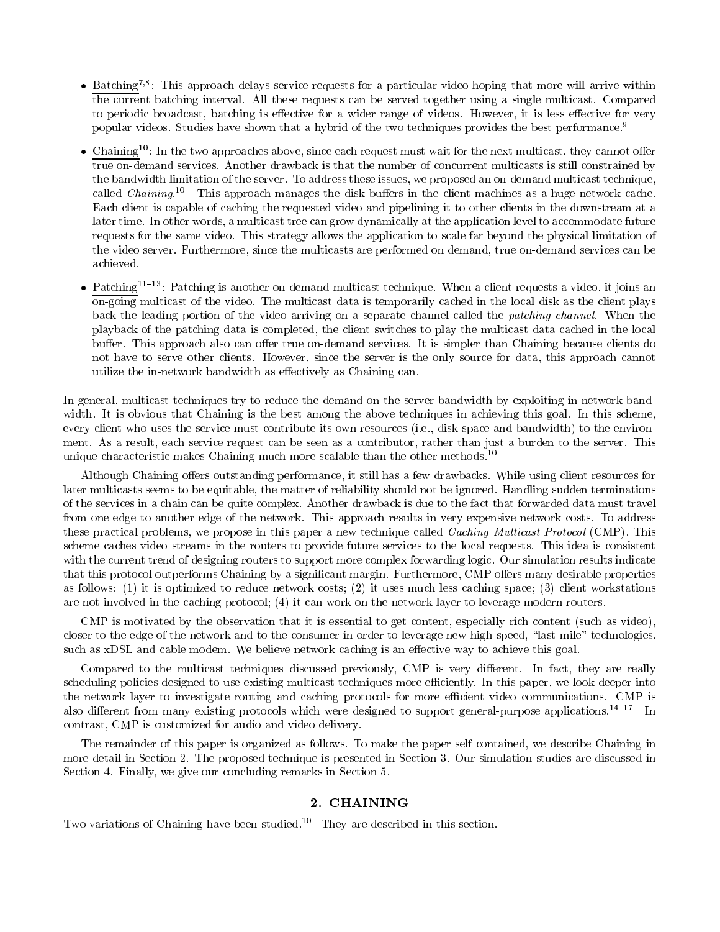- $\bullet$  Batching<sup>7,8</sup>: This approach delays service requests for a particular video hoping that more will arrive within the current batching interval. All these requests can be served together using a single multicast. Compared to periodic broadcast, batching is effective for a wider range of videos. However, it is less effective for very popular videos. Studies have shown that a hybrid of the two techniques provides the best performance.<sup>9</sup>
- Chaining<sup>10</sup>: In the two approaches above, since each request must wait for the next multicast, they cannot offer true on-demand services. Another drawback is that the number of concurrent multicasts is still constrained by the bandwidth limitation of the server. To address these issues, we proposed an on-demand multicast technique, called *Chaining*.<sup>10</sup> This approach manages the disk buffers in the client machines as a huge network cache. Each client is capable of caching the requested video and pipelining it to other clients in the downstream at a later time. In other words, a multicast tree can grow dynamically at the application level to accommodate future requests for the same video. This strategy allows the application to scale far beyond the physical limitation of the video server. Furthermore, since the multicasts are performed on demand, true on-demand services can be achieved.
- Patching<sup>11-13</sup>: Patching is another on-demand multicast technique. When a client requests a video, it joins an on-going multicast of the video. The multicast data is temporarily cached in the local disk as the client plays back the leading portion of the video arriving on a separate channel called the patching channel. When the playback of the patching data is completed, the client switches to play the multicast data cached in the local buffer. This approach also can offer true on-demand services. It is simpler than Chaining because clients do not have to serve other clients. However, since the server is the only source for data, this approach cannot utilize the in-network bandwidth as effectively as Chaining can.

In general, multicast techniques try to reduce the demand on the server bandwidth by exploiting in-network bandwidth. It is obvious that Chaining is the best among the above techniques in achieving this goal. In this scheme, every client who uses the service must contribute its own resources (i.e., disk space and bandwidth) to the environment. As a result, each service request can be seen as a contributor, rather than just a burden to the server. This unique characteristic makes Chaining much more scalable than the other methods.<sup>10</sup>

Although Chaining offers outstanding performance, it still has a few drawbacks. While using client resources for later multicasts seems to be equitable, the matter of reliability should not be ignored. Handling sudden terminations of the services in a chain can be quite complex. Another drawback is due to the fact that forwarded data must travel from one edge to another edge of the network. This approach results in very expensive network costs. To address these practical problems, we propose in this paper a new technique called *Caching Multicast Protocol* (CMP). This scheme caches video streams in the routers to provide future services to the local requests. This idea is consistent with the current trend of designing routers to support more complex forwarding logic. Our simulation results indicate that this protocol outperforms Chaining by a significant margin. Furthermore, CMP offers many desirable properties as follows: (1) it is optimized to reduce network costs; (2) it uses much less caching space; (3) client workstations are not involved in the caching protocol; (4) it can work on the network layer to leverage modern routers.

CMP is motivated by the observation that it is essential to get content, especially rich content (such as video), closer to the edge of the network and to the consumer in order to leverage new high-speed, "last-mile" technologies, such as xDSL and cable modem. We believe network caching is an effective way to achieve this goal.

Compared to the multicast techniques discussed previously, CMP is very different. In fact, they are really scheduling policies designed to use existing multicast techniques more efficiently. In this paper, we look deeper into the network layer to investigate routing and caching protocols for more efficient video communications. CMP is also different from many existing protocols which were designed to support general-purpose applications.<sup>14-17</sup> In contrast, CMP is customized for audio and video delivery.

The remainder of this paper is organized as follows. To make the paper self contained, we describe Chaining in more detail in Section 2. The proposed technique is presented in Section 3. Our simulation studies are discussed in Section 4. Finally, we give our concluding remarks in Section 5.

# 2. CHAINING

Two variations of Chaining have been studied.10 They are described in this section.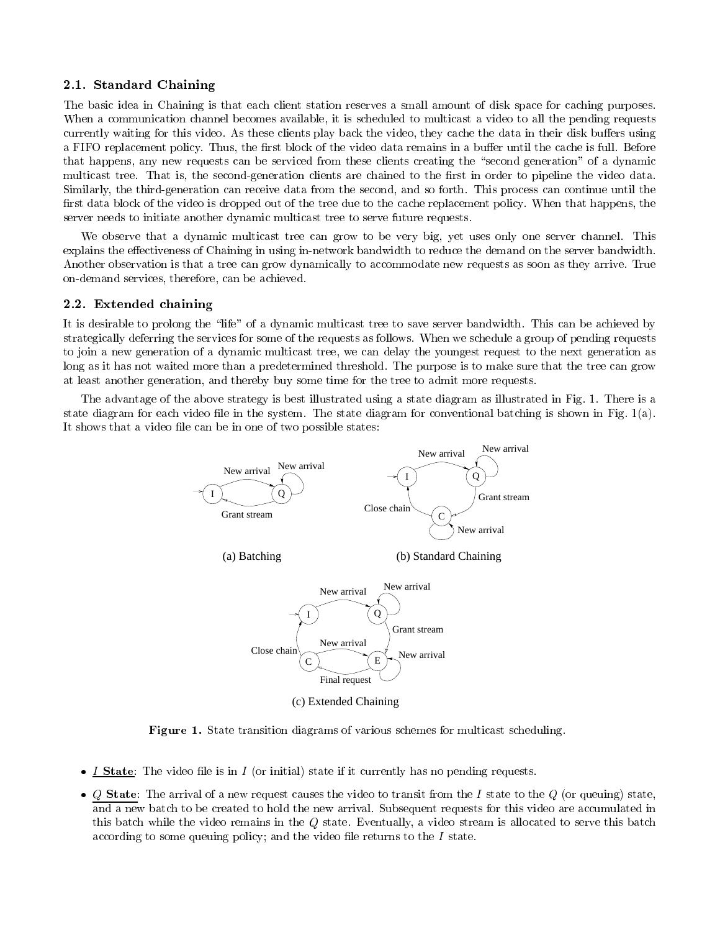# 2.1. Standard Chaining

The basic idea in Chaining is that each client station reserves a small amount of disk space for caching purposes. When a communication channel becomes available, it is scheduled to multicast a video to all the pending requests currently waiting for this video. As these clients play back the video, they cache the data in their disk buffers using a FIFO replacement policy. Thus, the first block of the video data remains in a buffer until the cache is full. Before that happens, any new requests can be serviced from these clients creating the "second generation" of a dynamic multicast tree. That is, the second-generation clients are chained to the first in order to pipeline the video data. Similarly, the third-generation can receive data from the second, and so forth. This process can continue until the first data block of the video is dropped out of the tree due to the cache replacement policy. When that happens, the server needs to initiate another dynamic multicast tree to serve future requests.

We observe that a dynamic multicast tree can grow to be very big, yet uses only one server channel. This explains the effectiveness of Chaining in using in-network bandwidth to reduce the demand on the server bandwidth. Another observation is that a tree can grow dynamically to accommodate new requests as soon as they arrive. True on-demand services, therefore, can be achieved.

# 2.2. Extended chaining

It is desirable to prolong the "life" of a dynamic multicast tree to save server bandwidth. This can be achieved by strategically deferring the services for some of the requests as follows. When we schedule a group of pending requests to join a new generation of a dynamic multicast tree, we can delay the youngest request to the next generation as long as it has not waited more than a predetermined threshold. The purpose is to make sure that the tree can grow at least another generation, and thereby buy some time for the tree to admit more requests.

The advantage of the above strategy is best illustrated using a state diagram as illustrated in Fig. 1. There is a state diagram for each video file in the system. The state diagram for conventional batching is shown in Fig.  $1(a)$ . It shows that a video file can be in one of two possible states:



Figure 1. State transition diagrams of various schemes for multicast scheduling.

- I State: The video file is in I (or initial) state if it currently has no pending requests.
- $Q$  State: The arrival of a new request causes the video to transit from the I state to the  $Q$  (or queuing) state, and a new batch to be created to hold the new arrival. Subsequent requests for this video are accumulated in this batch while the video remains in the Q state. Eventually, a video stream is allocated to serve this batch according to some queuing policy; and the video file returns to the  $I$  state.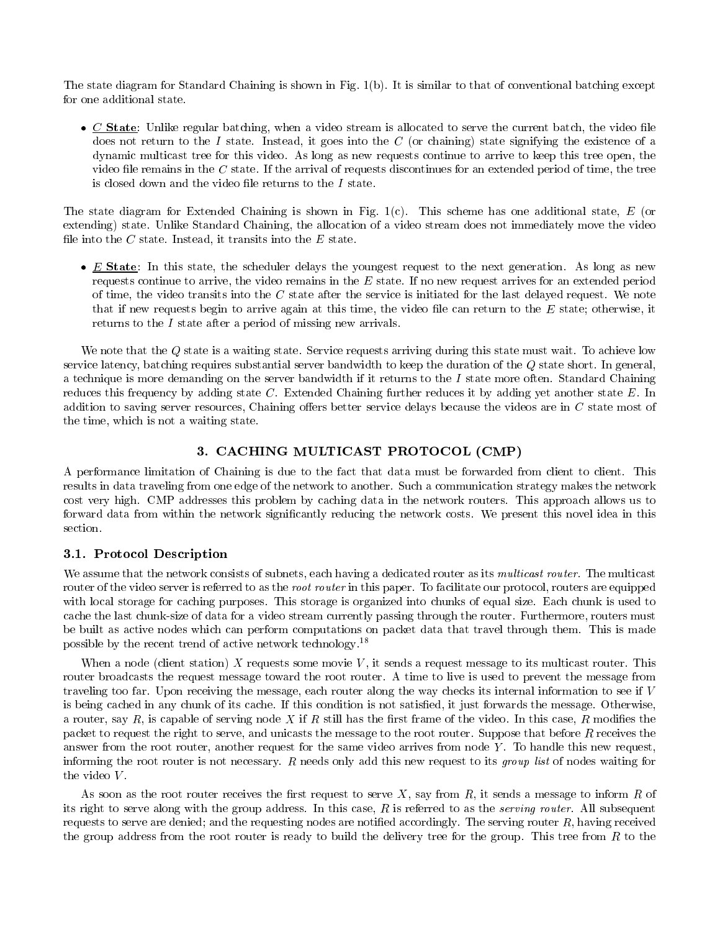The state diagram for Standard Chaining is shown in Fig. 1(b). It is similar to that of conventional batching except for one additional state.

 $\bullet$  C State: Unlike regular batching, when a video stream is allocated to serve the current batch, the video file does not return to the I state. Instead, it goes into the  $C$  (or chaining) state signifying the existence of a dynamic multicast tree for this video. As long as new requests continue to arrive to keep this tree open, the video file remains in the  $C$  state. If the arrival of requests discontinues for an extended period of time, the tree is closed down and the video file returns to the  $I$  state.

The state diagram for Extended Chaining is shown in Fig.  $1(c)$ . This scheme has one additional state, E (or extending) state. Unlike Standard Chaining, the allocation of a video stream does not immediately move the video file into the  $C$  state. Instead, it transits into the  $E$  state.

 $\bullet$  E State: In this state, the scheduler delays the youngest request to the next generation. As long as new requests continue to arrive, the video remains in the E state. If no new request arrives for an extended period of time, the video transits into the  $C$  state after the service is initiated for the last delayed request. We note that if new requests begin to arrive again at this time, the video file can return to the  $E$  state; otherwise, it returns to the I state after a period of missing new arrivals.

We note that the Q state is a waiting state. Service requests arriving during this state must wait. To achieve low service latency, batching requires substantial server bandwidth to keep the duration of the Q state short. In general, a technique is more demanding on the server bandwidth if it returns to the I state more often. Standard Chaining reduces this frequency by adding state C. Extended Chaining further reduces it by adding yet another state E. In addition to saving server resources, Chaining offers better service delays because the videos are in  $C$  state most of the time, which is not a waiting state.

#### 3. CACHING MULTICAST PROTOCOL (CMP)

A performance limitation of Chaining is due to the fact that data must be forwarded from client to client. This results in data traveling from one edge of the network to another. Such a communication strategy makes the network cost very high. CMP addresses this problem by caching data in the network routers. This approach allows us to forward data from within the network significantly reducing the network costs. We present this novel idea in this

# 3.1. Protocol Description

We assume that the network consists of subnets, each having a dedicated router as its multicast router. The multicast router of the video server is referred to as the *root router* in this paper. To facilitate our protocol, routers are equipped with local storage for caching purposes. This storage is organized into chunks of equal size. Each chunk is used to cache the last chunk-size of data for a video stream currently passing through the router. Furthermore, routers must be built as active nodes which can perform computations on packet data that travel through them. This is made possible by the recent trend of active network technology.18

When a node (client station)  $X$  requests some movie  $V$ , it sends a request message to its multicast router. This router broadcasts the request message toward the root router. A time to live is used to prevent the message from traveling too far. Upon receiving the message, each router along the way checks its internal information to see if V is being cached in any chunk of its cache. If this condition is not satisfied, it just forwards the message. Otherwise, a router, say  $R$ , is capable of serving node X if  $R$  still has the first frame of the video. In this case,  $R$  modifies the packet to request the right to serve, and unicasts the message to the root router. Suppose that before  $R$  receives the answer from the root router, another request for the same video arrives from node Y . To handle this new request, informing the root router is not necessary. R needs only add this new request to its group list of nodes waiting for the video  $V$ .

As soon as the root router receives the first request to serve  $X$ , say from  $R$ , it sends a message to inform  $R$  of its right to serve along with the group address. In this case,  $R$  is referred to as the *serving router*. All subsequent requests to serve are denied; and the requesting nodes are notified accordingly. The serving router  $R$ , having received the group address from the root router is ready to build the delivery tree for the group. This tree from  $R$  to the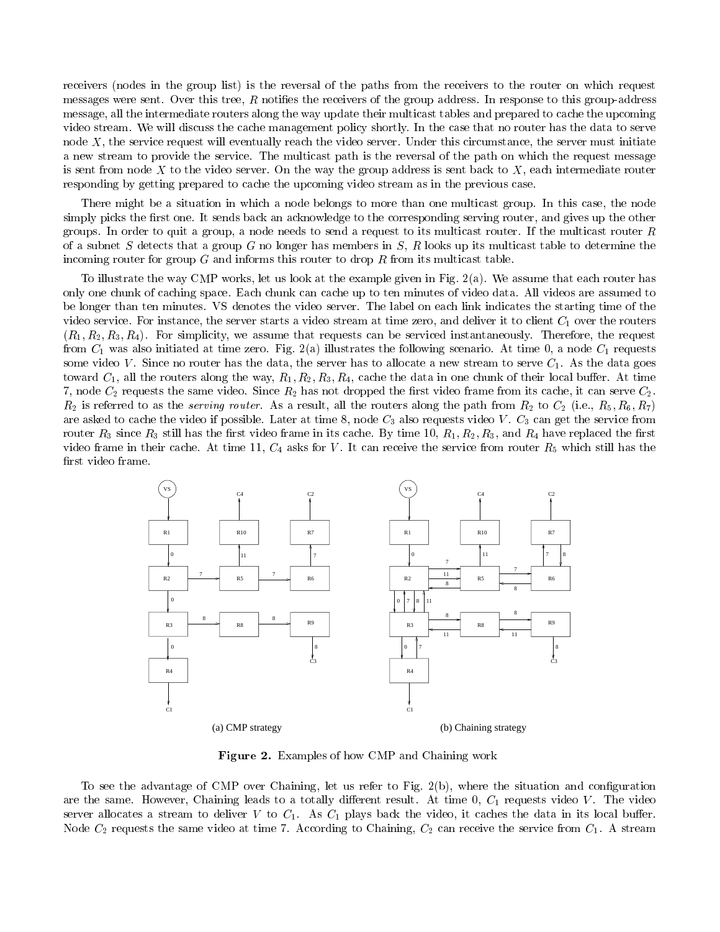receivers (nodes in the group list) is the reversal of the paths from the receivers to the router on which request messages were sent. Over this tree,  $R$  notifies the receivers of the group address. In response to this group-address message, all the intermediate routers along the way update their multicast tables and prepared to cache the upcoming video stream. We will discuss the cache management policy shortly. In the case that no router has the data to serve node X, the service request will eventually reach the video server. Under this circumstance, the server must initiate a new stream to provide the service. The multicast path is the reversal of the path on which the request message is sent from node X to the video server. On the way the group address is sent back to X, each intermediate router responding by getting prepared to cache the upcoming video stream as in the previous case.

There might be a situation in which a node belongs to more than one multicast group. In this case, the node simply picks the first one. It sends back an acknowledge to the corresponding serving router, and gives up the other groups. In order to quit a group, a node needs to send a request to its multicast router. If the multicast router  $R$ of a subnet S detects that a group G no longer has members in  $S, R$  looks up its multicast table to determine the incoming router for group  $G$  and informs this router to drop  $R$  from its multicast table.

To illustrate the way CMP works, let us look at the example given in Fig. 2(a). We assume that each router has only one chunk of caching space. Each chunk can cache up to ten minutes of video data. All videos are assumed to be longer than ten minutes. VS denotes the video server. The label on each link indicates the starting time of the video service. For instance, the server starts a video stream at time zero, and deliver it to client  $C_1$  over the routers  $(R_1, R_2, R_3, R_4)$ . For simplicity, we assume that requests can be serviced instantaneously. Therefore, the request from  $C_1$  was also initiated at time zero. Fig. 2(a) illustrates the following scenario. At time 0, a node  $C_1$  requests some video V. Since no router has the data, the server has to allocate a new stream to serve  $C_1$ . As the data goes toward  $C_1$ , all the routers along the way,  $R_1, R_2, R_3, R_4$ , cache the data in one chunk of their local buffer. At time 7, node  $C_2$  requests the same video. Since  $R_2$  has not dropped the first video frame from its cache, it can serve  $C_2$ .  $R_2$  is referred to as the serving router. As a result, all the routers along the path from  $R_2$  to  $C_2$  (i.e.,  $R_5, R_6, R_7$ ) are asked to cache the video if possible. Later at time 8, node  $C_3$  also requests video V.  $C_3$  can get the service from router  $R_3$  since  $R_3$  still has the first video frame in its cache. By time 10,  $R_1, R_2, R_3$ , and  $R_4$  have replaced the first video frame in their cache. At time 11,  $C_4$  asks for V. It can receive the service from router  $R_5$  which still has the first video frame.



Figure 2. Examples of how CMP and Chaining work

To see the advantage of CMP over Chaining, let us refer to Fig. 2(b), where the situation and configuration are the same. However, Chaining leads to a totally different result. At time  $0, C_1$  requests video V. The video server allocates a stream to deliver V to  $C_1$ . As  $C_1$  plays back the video, it caches the data in its local buffer. Node  $C_2$  requests the same video at time 7. According to Chaining,  $C_2$  can receive the service from  $C_1$ . A stream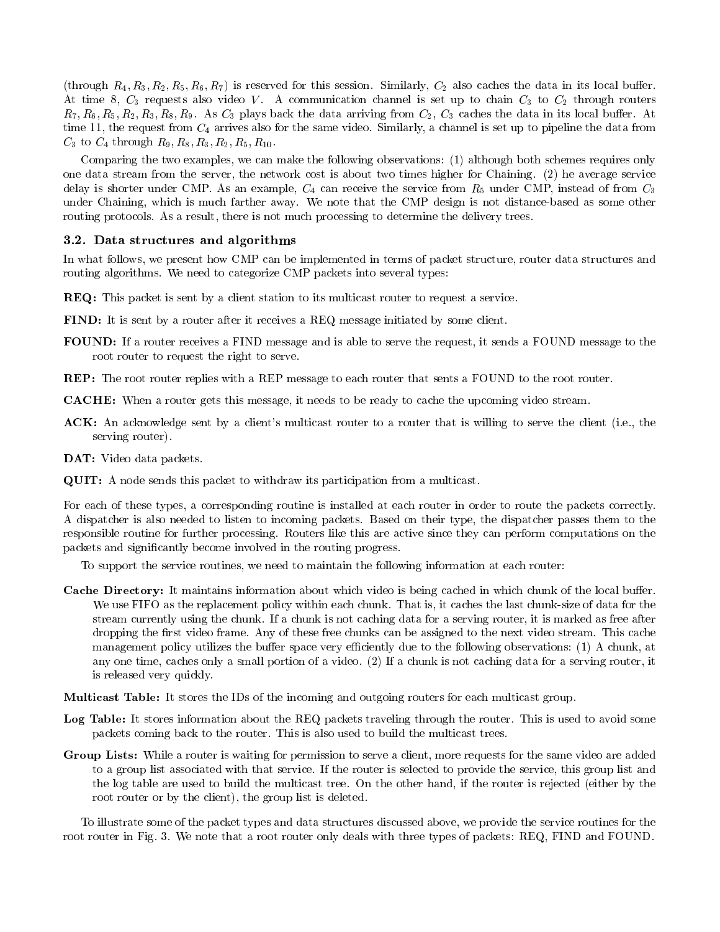(through  $R_4, R_3, R_2, R_5, R_6, R_7$ ) is reserved for this session. Similarly,  $C_2$  also caches the data in its local buffer. At time 8,  $C_3$  requests also video V. A communication channel is set up to chain  $C_3$  to  $C_2$  through routers  $R_7, R_6, R_5, R_2, R_3, R_8, R_9$ . As  $C_3$  plays back the data arriving from  $C_2, C_3$  caches the data in its local buffer. At time 11, the request from  $C_4$  arrives also for the same video. Similarly, a channel is set up to pipeline the data from  $C_3$  to  $C_4$  through  $R_9, R_8, R_3, R_2, R_5, R_{10}.$ 

Comparing the two examples, we can make the following observations: (1) although both schemes requires only one data stream from the server, the network cost is about two times higher for Chaining. (2) he average service delay is shorter under CMP. As an example,  $C_4$  can receive the service from  $R_5$  under CMP, instead of from  $C_3$ under Chaining, which is much farther away. We note that the CMP design is not distance-based as some other routing protocols. As a result, there is not much processing to determine the delivery trees.

### 3.2. Data structures and algorithms

In what follows, we present how CMP can be implemented in terms of packet structure, router data structures and routing algorithms. We need to categorize CMP packets into several types:

- REQ: This packet is sent by a client station to its multicast router to request a service.
- FIND: It is sent by a router after it receives a REQ message initiated by some client.
- FOUND: If a router receives a FIND message and is able to serve the request, it sends a FOUND message to the root router to request the right to serve.
- REP: The root router replies with a REP message to each router that sents a FOUND to the root router.
- CACHE: When a router gets this message, it needs to be ready to cache the upcoming video stream.
- ACK: An acknowledge sent by a client's multicast router to a router that is willing to serve the client (i.e., the serving router).
- DAT: Video data packets.
- QUIT: A node sends this packet to withdraw its participation from a multicast.

For each of these types, a corresponding routine is installed at each router in order to route the packets correctly. A dispatcher is also needed to listen to incoming packets. Based on their type, the dispatcher passes them to the responsible routine for further processing. Routers like this are active since they can perform computations on the packets and signicantly become involved in the routing progress.

To support the service routines, we need to maintain the following information at each router:

- Cache Directory: It maintains information about which video is being cached in which chunk of the local buffer. We use FIFO as the replacement policy within each chunk. That is, it caches the last chunk-size of data for the stream currently using the chunk. If a chunk is not caching data for a serving router, it is marked as free after dropping the first video frame. Any of these free chunks can be assigned to the next video stream. This cache management policy utilizes the buffer space very efficiently due to the following observations: (1) A chunk, at any one time, caches only a small portion of a video. (2) If a chunk is not caching data for a serving router, it is released very quickly.
- Multicast Table: It stores the IDs of the incoming and outgoing routers for each multicast group.
- Log Table: It stores information about the REQ packets traveling through the router. This is used to avoid some packets coming back to the router. This is also used to build the multicast trees.
- Group Lists: While a router is waiting for permission to serve a client, more requests for the same video are added to a group list associated with that service. If the router is selected to provide the service, this group list and the log table are used to build the multicast tree. On the other hand, if the router is rejected (either by the root router or by the client), the group list is deleted.

To illustrate some of the packet types and data structures discussed above, we provide the service routines for the root router in Fig. 3. We note that a root router only deals with three types of packets: REQ, FIND and FOUND.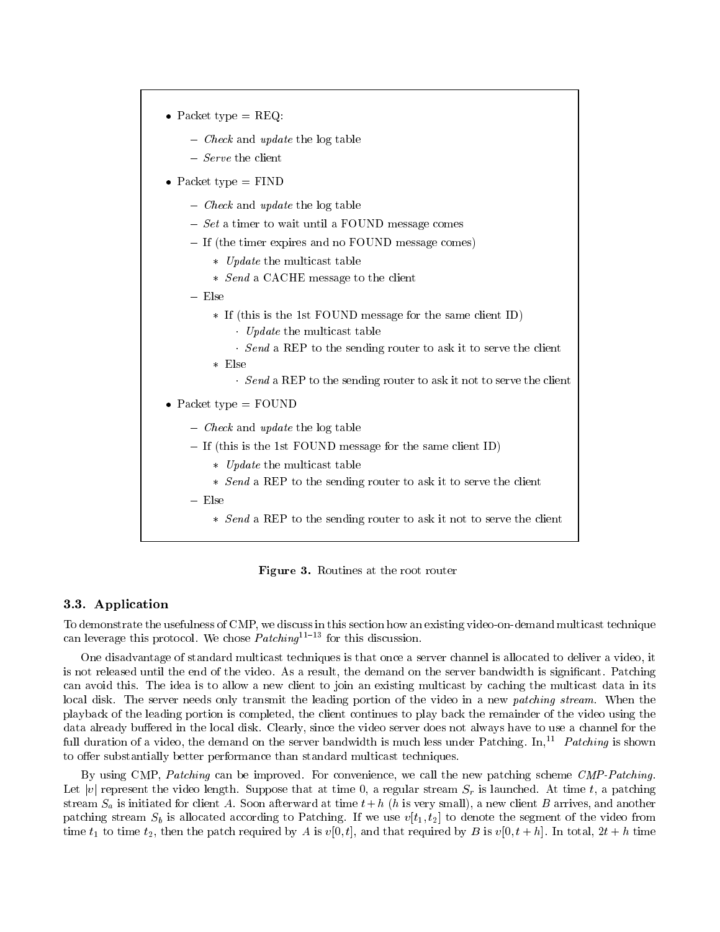

Figure 3. Routines at the root router

### 3.3. Application

To demonstrate the usefulness of CMP, we discuss in this section how an existing video-on-demand multicast technique can leverage this protocol. We chose  $Patching^{11-13}$  for this discussion.

One disadvantage of standard multicast techniques is that once a server channel is allocated to deliver a video, it is not released until the end of the video. As a result, the demand on the server bandwidth is signicant. Patching can avoid this. The idea is to allow a new client to join an existing multicast by caching the multicast data in its local disk. The server needs only transmit the leading portion of the video in a new *patching stream*. When the playback of the leading portion is completed, the client continues to play back the remainder of the video using the data already buffered in the local disk. Clearly, since the video server does not always have to use a channel for the full duration of a video, the demand on the server bandwidth is much less under Patching. In,<sup>11</sup> Patching is shown to offer substantially better performance than standard multicast techniques.

By using CMP, Patching can be improved. For convenience, we call the new patching scheme CMP-Patching. Let |v| represent the video length. Suppose that at time 0, a regular stream  $S_r$  is launched. At time t, a patching stream  $S_a$  is initiated for client A. Soon afterward at time  $t+h$  (h is very small), a new client B arrives, and another patching stream  $S_b$  is allocated according to Patching. If we use  $v[t_1, t_2]$  to denote the segment of the video from time  $t_1$  to time  $t_2$ , then the patch required by A is v[0, t], and that required by B is v[0, t + h]. In total,  $2t + h$  time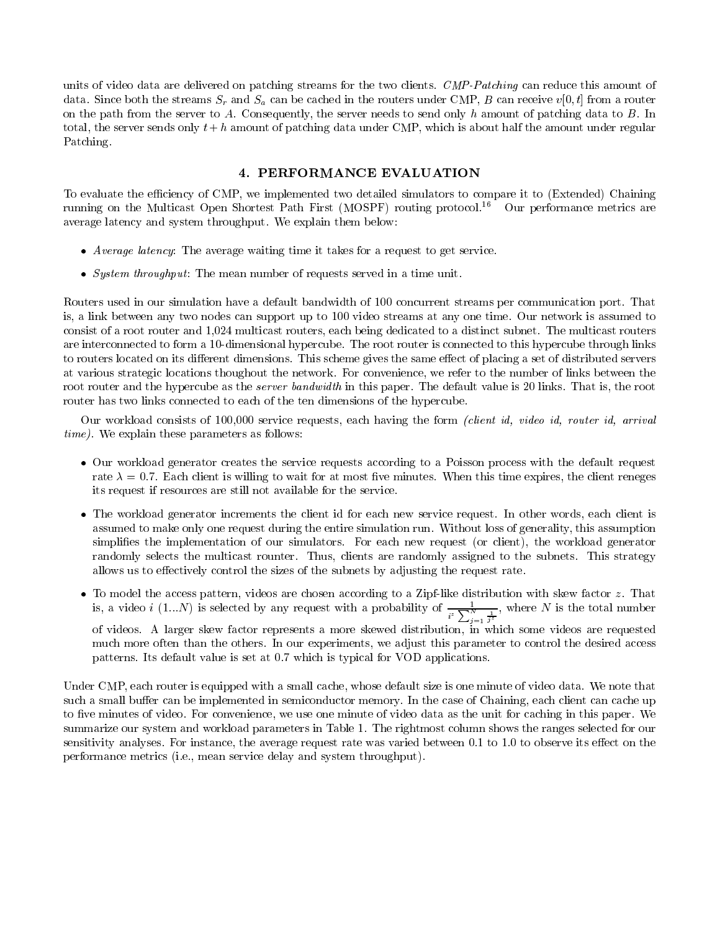units of video data are delivered on patching streams for the two clients. CMP-Patching can reduce this amount of data. Since both the streams  $S_r$  and  $S_a$  can be cached in the routers under CMP, B can receive v[0, t] from a router on the path from the server to A. Consequently, the server needs to send only h amount of patching data to  $B$ . In total, the server sends only  $t + h$  amount of patching data under CMP, which is about half the amount under regular Patching.

## 4. PERFORMANCE EVALUATION

To evaluate the efficiency of CMP, we implemented two detailed simulators to compare it to (Extended) Chaining running on the Multicast Open Shortest Path First (MOSPF) routing protocol.<sup>16</sup> Our performance metrics are average latency and system throughput. We explain them below:

- Average latency: The average waiting time it takes for a request to get service.
- System throughput: The mean number of requests served in a time unit.

Routers used in our simulation have a default bandwidth of 100 concurrent streams per communication port. That is, a link between any two nodes can support up to 100 video streams at any one time. Our network is assumed to consist of a root router and 1,024 multicast routers, each being dedicated to a distinct subnet. The multicast routers are interconnected to form a 10-dimensional hypercube. The root router is connected to this hypercube through links to routers located on its different dimensions. This scheme gives the same effect of placing a set of distributed servers at various strategic locations thoughout the network. For convenience, we refer to the number of links between the root router and the hypercube as the *server bandwidth* in this paper. The default value is 20 links. That is, the root router has two links connected to each of the ten dimensions of the hypercube.

Our workload consists of 100,000 service requests, each having the form (client id, video id, router id, arrival time). We explain these parameters as follows:

- Our workload generator creates the service requests according to a Poisson process with the default request rate  $\lambda = 0.7$ . Each client is willing to wait for at most five minutes. When this time expires, the client reneges its request if resources are still not available for the service.
- The workload generator increments the client id for each new service request. In other words, each client is assumed to make only one request during the entire simulation run. Without loss of generality, this assumption simplifies the implementation of our simulators. For each new request (or client), the workload generator randomly selects the multicast rounter. Thus, clients are randomly assigned to the subnets. This strategy allows us to effectively control the sizes of the subnets by adjusting the request rate.
- To model the access pattern, videos are chosen according to a Zipf-like distribution with skew factor z. That is, a video i  $(1...N)$  is selected by any request with a probability of  $\frac{1}{i^z \sum_{j=1}^N \frac{1}{j^z}}$ , where N is the total number of videos. A larger skew factor represents a more skewed distribution, in which some videos are requested much more often than the others. In our experiments, we adjust this parameter to control the desired access patterns. Its default value is set at 0.7 which is typical for VOD applications.

Under CMP, each router is equipped with a small cache, whose default size is one minute of video data. We note that such a small buffer can be implemented in semiconductor memory. In the case of Chaining, each client can cache up to five minutes of video. For convenience, we use one minute of video data as the unit for caching in this paper. We summarize our system and workload parameters in Table 1. The rightmost column shows the ranges selected for our sensitivity analyses. For instance, the average request rate was varied between 0.1 to 1.0 to observe its effect on the performance metrics (i.e., mean service delay and system throughput).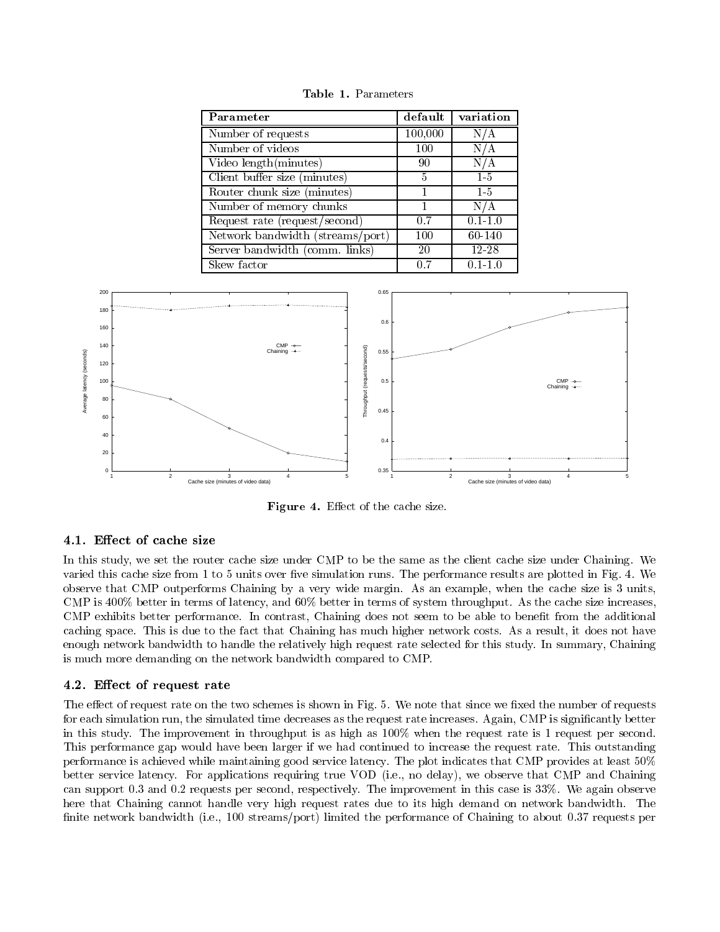| Parameter                        | default | variation   |
|----------------------------------|---------|-------------|
| Number of requests               | 100,000 | N/A         |
| Number of videos                 | 100     | N/A         |
| Video length(minutes)            | 90      | N/A         |
| Client buffer size (minutes)     | 5       | $1-5$       |
| Router chunk size (minutes)      |         | $1 - 5$     |
| Number of memory chunks          |         | N/A         |
| Request rate (request/second)    | 0.7     | $0.1 - 1.0$ |
| Network bandwidth (streams/port) | 100     | 60-140      |
| Server bandwidth (comm. links)   | 20      | $12 - 28$   |
| Skew factor                      | 0.7     | $0.1 - 1.0$ |

Table 1. Parameters



Figure 4. Effect of the cache size.

#### 4.1. Effect of cache size

In this study, we set the router cache size under CMP to be the same as the client cache size under Chaining. We varied this cache size from 1 to 5 units over five simulation runs. The performance results are plotted in Fig. 4. We observe that CMP outperforms Chaining by a very wide margin. As an example, when the cache size is 3 units, CMP is 400% better in terms of latency, and 60% better in terms of system throughput. As the cache size increases, CMP exhibits better performance. In contrast, Chaining does not seem to be able to benet from the additional caching space. This is due to the fact that Chaining has much higher network costs. As a result, it does not have enough network bandwidth to handle the relatively high request rate selected for this study. In summary, Chaining is much more demanding on the network bandwidth compared to CMP.

#### 4.2. Effect of request rate

The effect of request rate on the two schemes is shown in Fig. 5. We note that since we fixed the number of requests for each simulation run, the simulated time decreases as the request rate increases. Again, CMP is significantly better in this study. The improvement in throughput is as high as 100% when the request rate is 1 request per second. This performance gap would have been larger if we had continued to increase the request rate. This outstanding performance is achieved while maintaining good service latency. The plot indicates that CMP provides at least 50% better service latency. For applications requiring true VOD (i.e., no delay), we observe that CMP and Chaining can support 0.3 and 0.2 requests per second, respectively. The improvement in this case is 33%. We again observe here that Chaining cannot handle very high request rates due to its high demand on network bandwidth. The finite network bandwidth (i.e., 100 streams/port) limited the performance of Chaining to about 0.37 requests per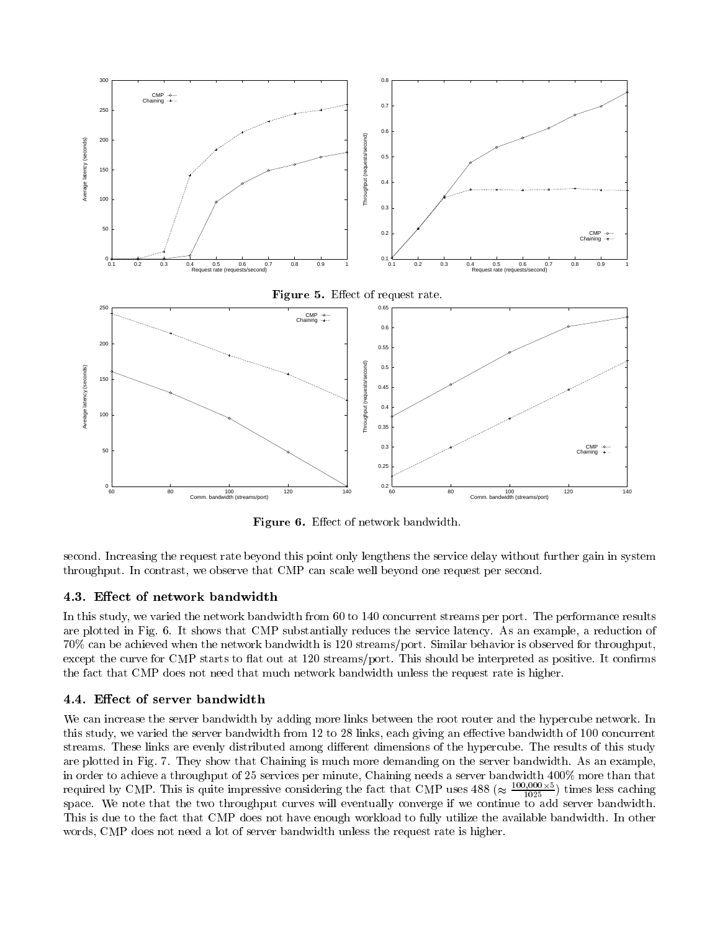

Figure 6. Effect of network bandwidth.

second. Increasing the request rate beyond this point only lengthens the service delay without further gain in system throughput. In contrast, we observe that CMP can scale well beyond one request per second.

# 4.3. Effect of network bandwidth

In this study, we varied the network bandwidth from 60 to 140 concurrent streams per port. The performance results are plotted in Fig. 6. It shows that CMP substantially reduces the service latency. As an example, a reduction of 70% can be achieved when the network bandwidth is 120 streams/port. Similar behavior is observed for throughput, except the curve for CMP starts to flat out at 120 streams/port. This should be interpreted as positive. It confirms the fact that CMP does not need that much network bandwidth unless the request rate is higher.

# 4.4. Effect of server bandwidth

We can increase the server bandwidth by adding more links between the root router and the hypercube network. In this study, we varied the server bandwidth from  $12$  to  $28$  links, each giving an effective bandwidth of  $100$  concurrent streams. These links are evenly distributed among different dimensions of the hypercube. The results of this study are plotted in Fig. 7. They show that Chaining is much more demanding on the server bandwidth. As an example, in order to achieve a throughput of 25 services per minute, Chaining needs a server bandwidth 400% more than that required by CMP. This is quite impressive considering the fact that CMP uses 488 ( $\approx\frac{1025}{1025}$ ) times less caching space. We note that the two throughput curves will eventually converge if we continue to add server bandwidth. This is due to the fact that CMP does not have enough workload to fully utilize the available bandwidth. In other words, CMP does not need a lot of server bandwidth unless the request rate is higher.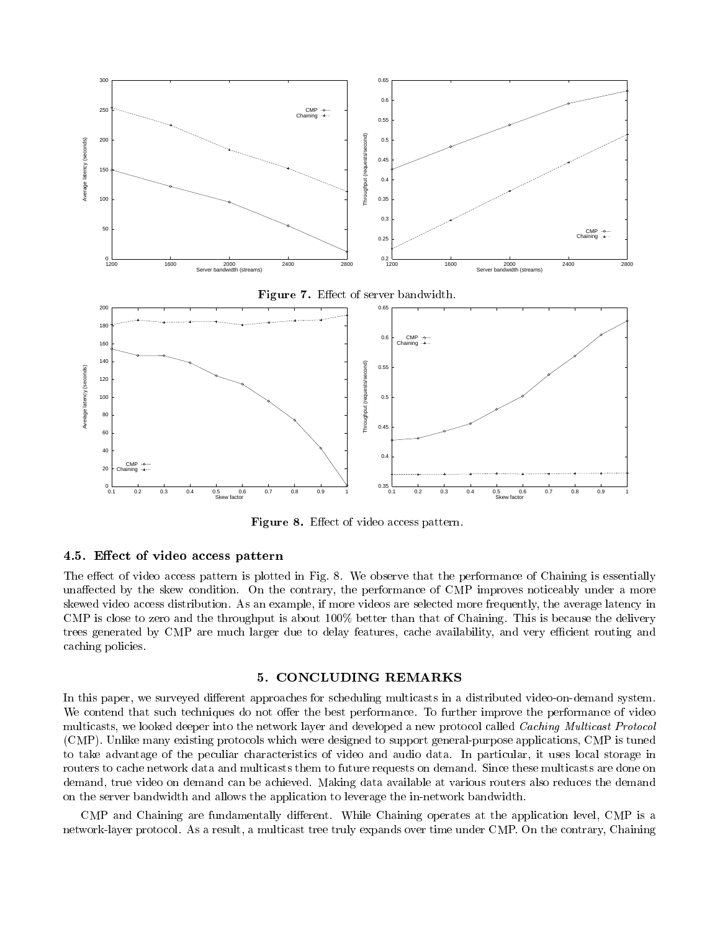

Figure 8. Effect of video access pattern.

#### 4.5. Effect of video access pattern

The effect of video access pattern is plotted in Fig. 8. We observe that the performance of Chaining is essentially unaffected by the skew condition. On the contrary, the performance of CMP improves noticeably under a more skewed video access distribution. As an example, if more videos are selected more frequently, the average latency in CMP is close to zero and the throughput is about 100% better than that of Chaining. This is because the delivery trees generated by CMP are much larger due to delay features, cache availability, and very efficient routing and caching policies.

#### 5. CONCLUDING REMARKS

In this paper, we surveyed different approaches for scheduling multicasts in a distributed video-on-demand system. We contend that such techniques do not offer the best performance. To further improve the performance of video multicasts, we looked deeper into the network layer and developed a new protocol called Caching Multicast Protocol (CMP). Unlike many existing protocols which were designed to support general-purpose applications, CMP is tuned to take advantage of the peculiar characteristics of video and audio data. In particular, it uses local storage in routers to cache network data and multicasts them to future requests on demand. Since these multicasts are done on demand, true video on demand can be achieved. Making data available at various routers also reduces the demand on the server bandwidth and allows the application to leverage the in-network bandwidth.

CMP and Chaining are fundamentally different. While Chaining operates at the application level, CMP is a network-layer protocol. As a result, a multicast tree truly expands over time under CMP. On the contrary, Chaining